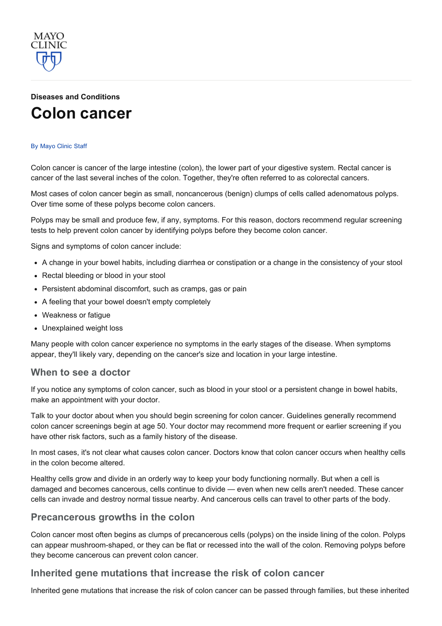

# Diseases and [Conditions](http://www.mayoclinic.org/diseases-conditions) Colon [cancer](http://www.mayoclinic.org/diseases-conditions/colon-cancer/basics/definition/con-20031877)

#### By [Mayo](http://www.mayoclinic.org/about-this-site/welcome) Clinic Staff

Colon cancer is cancer of the large intestine (colon), the lower part of your digestive system. Rectal cancer is cancer of the last several inches of the colon. Together, they're often referred to as colorectal cancers.

Most cases of colon cancer begin as small, noncancerous (benign) clumps of cells called adenomatous polyps. Over time some of these polyps become colon cancers.

Polyps may be small and produce few, if any, symptoms. For this reason, doctors recommend regular screening tests to help prevent colon cancer by identifying polyps before they become colon cancer.

Signs and symptoms of colon cancer include:

- A change in your bowel habits, including diarrhea or constipation or a change in the consistency of your stool
- Rectal bleeding or blood in your stool
- Persistent abdominal discomfort, such as cramps, gas or pain
- A feeling that your bowel doesn't empty completely
- Weakness or fatigue
- Unexplained weight loss

Many people with colon cancer experience no symptoms in the early stages of the disease. When symptoms appear, they'll likely vary, depending on the cancer's size and location in your large intestine.

#### When to see a doctor

If you notice any symptoms of colon cancer, such as blood in your stool or a persistent change in bowel habits, make an appointment with your doctor.

Talk to your doctor about when you should begin screening for colon cancer. Guidelines generally recommend colon cancer screenings begin at age 50. Your doctor may recommend more frequent or earlier screening if you have other risk factors, such as a family history of the disease.

In most cases, it's not clear what causes colon cancer. Doctors know that colon cancer occurs when healthy cells in the colon become altered.

Healthy cells grow and divide in an orderly way to keep your body functioning normally. But when a cell is damaged and becomes cancerous, cells continue to divide — even when new cells aren't needed. These cancer cells can invade and destroy normal tissue nearby. And cancerous cells can travel to other parts of the body.

#### Precancerous growths in the colon

Colon cancer most often begins as clumps of precancerous cells (polyps) on the inside lining of the colon. Polyps can appear mushroomshaped, or they can be flat or recessed into the wall of the colon. Removing polyps before they become cancerous can prevent colon cancer.

#### Inherited gene mutations that increase the risk of colon cancer

Inherited gene mutations that increase the risk of colon cancer can be passed through families, but these inherited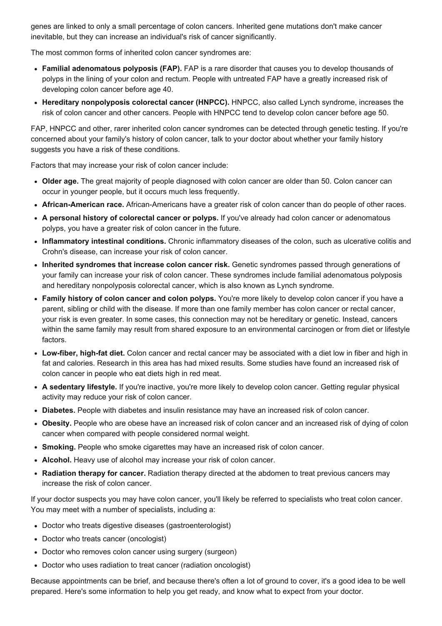genes are linked to only a small percentage of colon cancers. Inherited gene mutations don't make cancer inevitable, but they can increase an individual's risk of cancer significantly.

The most common forms of inherited colon cancer syndromes are:

- Familial adenomatous polyposis (FAP). FAP is a rare disorder that causes you to develop thousands of polyps in the lining of your colon and rectum. People with untreated FAP have a greatly increased risk of developing colon cancer before age 40.
- Hereditary nonpolyposis colorectal cancer (HNPCC). HNPCC, also called Lynch syndrome, increases the risk of colon cancer and other cancers. People with HNPCC tend to develop colon cancer before age 50.

FAP, HNPCC and other, rarer inherited colon cancer syndromes can be detected through genetic testing. If you're concerned about your family's history of colon cancer, talk to your doctor about whether your family history suggests you have a risk of these conditions.

Factors that may increase your risk of colon cancer include:

- Older age. The great majority of people diagnosed with colon cancer are older than 50. Colon cancer can occur in younger people, but it occurs much less frequently.
- African-American race. African-Americans have a greater risk of colon cancer than do people of other races.
- A personal history of colorectal cancer or polyps. If you've already had colon cancer or adenomatous polyps, you have a greater risk of colon cancer in the future.
- Inflammatory intestinal conditions. Chronic inflammatory diseases of the colon, such as ulcerative colitis and Crohn's disease, can increase your risk of colon cancer.
- Inherited syndromes that increase colon cancer risk. Genetic syndromes passed through generations of your family can increase your risk of colon cancer. These syndromes include familial adenomatous polyposis and hereditary nonpolyposis colorectal cancer, which is also known as Lynch syndrome.
- Family history of colon cancer and colon polyps. You're more likely to develop colon cancer if you have a parent, sibling or child with the disease. If more than one family member has colon cancer or rectal cancer, your risk is even greater. In some cases, this connection may not be hereditary or genetic. Instead, cancers within the same family may result from shared exposure to an environmental carcinogen or from diet or lifestyle factors.
- Low-fiber, high-fat diet. Colon cancer and rectal cancer may be associated with a diet low in fiber and high in fat and calories. Research in this area has had mixed results. Some studies have found an increased risk of colon cancer in people who eat diets high in red meat.
- A sedentary lifestyle. If you're inactive, you're more likely to develop colon cancer. Getting regular physical activity may reduce your risk of colon cancer.
- Diabetes. People with diabetes and insulin resistance may have an increased risk of colon cancer.
- Obesity. People who are obese have an increased risk of colon cancer and an increased risk of dying of colon cancer when compared with people considered normal weight.
- Smoking. People who smoke cigarettes may have an increased risk of colon cancer.
- Alcohol. Heavy use of alcohol may increase your risk of colon cancer.
- Radiation therapy for cancer. Radiation therapy directed at the abdomen to treat previous cancers may increase the risk of colon cancer.

If your doctor suspects you may have colon cancer, you'll likely be referred to specialists who treat colon cancer. You may meet with a number of specialists, including a:

- Doctor who treats digestive diseases (gastroenterologist)
- Doctor who treats cancer (oncologist)
- Doctor who removes colon cancer using surgery (surgeon)
- Doctor who uses radiation to treat cancer (radiation oncologist)

Because appointments can be brief, and because there's often a lot of ground to cover, it's a good idea to be well prepared. Here's some information to help you get ready, and know what to expect from your doctor.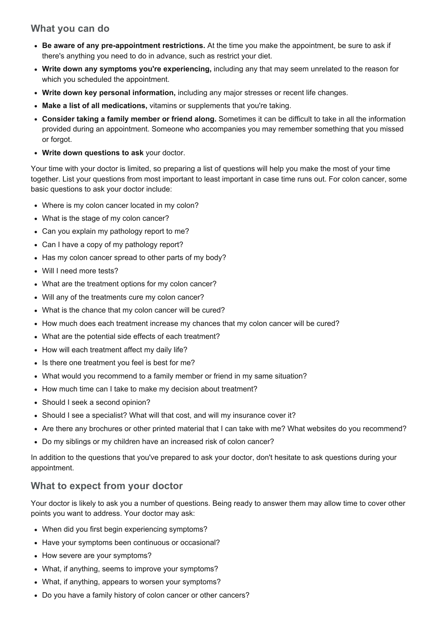### What you can do

- Be aware of any pre-appointment restrictions. At the time you make the appointment, be sure to ask if there's anything you need to do in advance, such as restrict your diet.
- Write down any symptoms you're experiencing, including any that may seem unrelated to the reason for which you scheduled the appointment.
- Write down key personal information, including any major stresses or recent life changes.
- Make a list of all medications, vitamins or supplements that you're taking.
- Consider taking a family member or friend along. Sometimes it can be difficult to take in all the information provided during an appointment. Someone who accompanies you may remember something that you missed or forgot.
- Write down questions to ask your doctor.

Your time with your doctor is limited, so preparing a list of questions will help you make the most of your time together. List your questions from most important to least important in case time runs out. For colon cancer, some basic questions to ask your doctor include:

- Where is my colon cancer located in my colon?
- What is the stage of my colon cancer?
- Can you explain my pathology report to me?
- Can I have a copy of my pathology report?
- Has my colon cancer spread to other parts of my body?
- Will I need more tests?
- What are the treatment options for my colon cancer?
- Will any of the treatments cure my colon cancer?
- What is the chance that my colon cancer will be cured?
- How much does each treatment increase my chances that my colon cancer will be cured?
- What are the potential side effects of each treatment?
- How will each treatment affect my daily life?
- Is there one treatment you feel is best for me?
- What would you recommend to a family member or friend in my same situation?
- How much time can I take to make my decision about treatment?
- Should I seek a second opinion?
- Should I see a specialist? What will that cost, and will my insurance cover it?
- Are there any brochures or other printed material that I can take with me? What websites do you recommend?
- Do my siblings or my children have an increased risk of colon cancer?

In addition to the questions that you've prepared to ask your doctor, don't hesitate to ask questions during your appointment.

### What to expect from your doctor

Your doctor is likely to ask you a number of questions. Being ready to answer them may allow time to cover other points you want to address. Your doctor may ask:

- When did you first begin experiencing symptoms?
- Have your symptoms been continuous or occasional?
- How severe are your symptoms?
- What, if anything, seems to improve your symptoms?
- What, if anything, appears to worsen your symptoms?
- Do you have a family history of colon cancer or other cancers?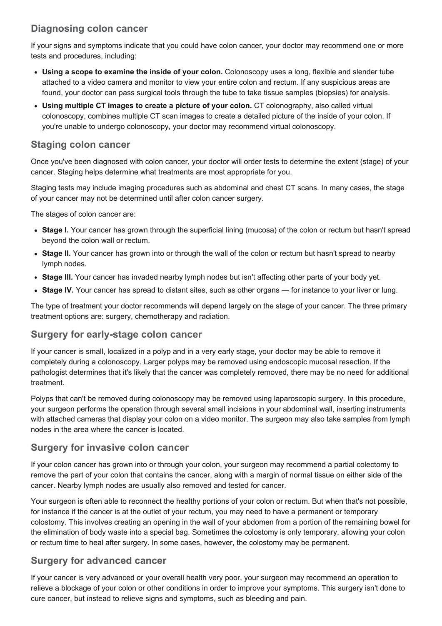# Diagnosing colon cancer

If your signs and symptoms indicate that you could have colon cancer, your doctor may recommend one or more tests and procedures, including:

- Using a scope to examine the inside of your colon. Colonoscopy uses a long, flexible and slender tube attached to a video camera and monitor to view your entire colon and rectum. If any suspicious areas are found, your doctor can pass surgical tools through the tube to take tissue samples (biopsies) for analysis.
- Using multiple CT images to create a picture of your colon. CT colonography, also called virtual colonoscopy, combines multiple CT scan images to create a detailed picture of the inside of your colon. If you're unable to undergo colonoscopy, your doctor may recommend virtual colonoscopy.

### Staging colon cancer

Once you've been diagnosed with colon cancer, your doctor will order tests to determine the extent (stage) of your cancer. Staging helps determine what treatments are most appropriate for you.

Staging tests may include imaging procedures such as abdominal and chest CT scans. In many cases, the stage of your cancer may not be determined until after colon cancer surgery.

The stages of colon cancer are:

- Stage I. Your cancer has grown through the superficial lining (mucosa) of the colon or rectum but hasn't spread beyond the colon wall or rectum.
- Stage II. Your cancer has grown into or through the wall of the colon or rectum but hasn't spread to nearby lymph nodes.
- Stage III. Your cancer has invaded nearby lymph nodes but isn't affecting other parts of your body yet.
- Stage IV. Your cancer has spread to distant sites, such as other organs for instance to your liver or lung.

The type of treatment your doctor recommends will depend largely on the stage of your cancer. The three primary treatment options are: surgery, chemotherapy and radiation.

### Surgery for early-stage colon cancer

If your cancer is small, localized in a polyp and in a very early stage, your doctor may be able to remove it completely during a colonoscopy. Larger polyps may be removed using endoscopic mucosal resection. If the pathologist determines that it's likely that the cancer was completely removed, there may be no need for additional treatment.

Polyps that can't be removed during colonoscopy may be removed using laparoscopic surgery. In this procedure, your surgeon performs the operation through several small incisions in your abdominal wall, inserting instruments with attached cameras that display your colon on a video monitor. The surgeon may also take samples from lymph nodes in the area where the cancer is located.

### Surgery for invasive colon cancer

If your colon cancer has grown into or through your colon, your surgeon may recommend a partial colectomy to remove the part of your colon that contains the cancer, along with a margin of normal tissue on either side of the cancer. Nearby lymph nodes are usually also removed and tested for cancer.

Your surgeon is often able to reconnect the healthy portions of your colon or rectum. But when that's not possible, for instance if the cancer is at the outlet of your rectum, you may need to have a permanent or temporary colostomy. This involves creating an opening in the wall of your abdomen from a portion of the remaining bowel for the elimination of body waste into a special bag. Sometimes the colostomy is only temporary, allowing your colon or rectum time to heal after surgery. In some cases, however, the colostomy may be permanent.

### Surgery for advanced cancer

If your cancer is very advanced or your overall health very poor, your surgeon may recommend an operation to relieve a blockage of your colon or other conditions in order to improve your symptoms. This surgery isn't done to cure cancer, but instead to relieve signs and symptoms, such as bleeding and pain.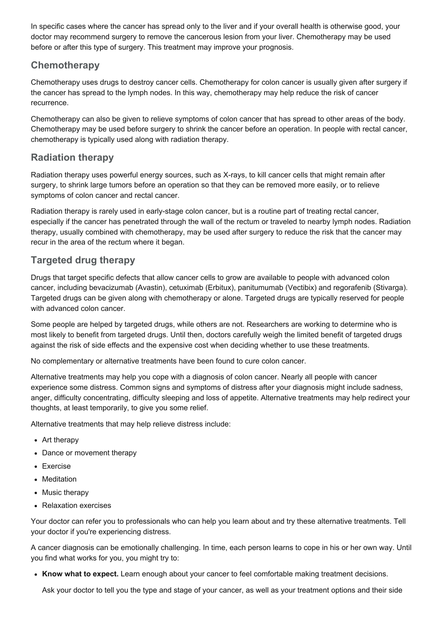In specific cases where the cancer has spread only to the liver and if your overall health is otherwise good, your doctor may recommend surgery to remove the cancerous lesion from your liver. Chemotherapy may be used before or after this type of surgery. This treatment may improve your prognosis.

### **Chemotherapy**

Chemotherapy uses drugs to destroy cancer cells. Chemotherapy for colon cancer is usually given after surgery if the cancer has spread to the lymph nodes. In this way, chemotherapy may help reduce the risk of cancer recurrence.

Chemotherapy can also be given to relieve symptoms of colon cancer that has spread to other areas of the body. Chemotherapy may be used before surgery to shrink the cancer before an operation. In people with rectal cancer, chemotherapy is typically used along with radiation therapy.

### Radiation therapy

Radiation therapy uses powerful energy sources, such as X-rays, to kill cancer cells that might remain after surgery, to shrink large tumors before an operation so that they can be removed more easily, or to relieve symptoms of colon cancer and rectal cancer.

Radiation therapy is rarely used in early-stage colon cancer, but is a routine part of treating rectal cancer, especially if the cancer has penetrated through the wall of the rectum or traveled to nearby lymph nodes. Radiation therapy, usually combined with chemotherapy, may be used after surgery to reduce the risk that the cancer may recur in the area of the rectum where it began.

# Targeted drug therapy

Drugs that target specific defects that allow cancer cells to grow are available to people with advanced colon cancer, including bevacizumab (Avastin), cetuximab (Erbitux), panitumumab (Vectibix) and regorafenib (Stivarga). Targeted drugs can be given along with chemotherapy or alone. Targeted drugs are typically reserved for people with advanced colon cancer.

Some people are helped by targeted drugs, while others are not. Researchers are working to determine who is most likely to benefit from targeted drugs. Until then, doctors carefully weigh the limited benefit of targeted drugs against the risk of side effects and the expensive cost when deciding whether to use these treatments.

No complementary or alternative treatments have been found to cure colon cancer.

Alternative treatments may help you cope with a diagnosis of colon cancer. Nearly all people with cancer experience some distress. Common signs and symptoms of distress after your diagnosis might include sadness, anger, difficulty concentrating, difficulty sleeping and loss of appetite. Alternative treatments may help redirect your thoughts, at least temporarily, to give you some relief.

Alternative treatments that may help relieve distress include:

- Art therapy
- Dance or movement therapy
- Exercise
- Meditation
- Music therapy
- Relaxation exercises

Your doctor can refer you to professionals who can help you learn about and try these alternative treatments. Tell your doctor if you're experiencing distress.

A cancer diagnosis can be emotionally challenging. In time, each person learns to cope in his or her own way. Until you find what works for you, you might try to:

• Know what to expect. Learn enough about your cancer to feel comfortable making treatment decisions.

Ask your doctor to tell you the type and stage of your cancer, as well as your treatment options and their side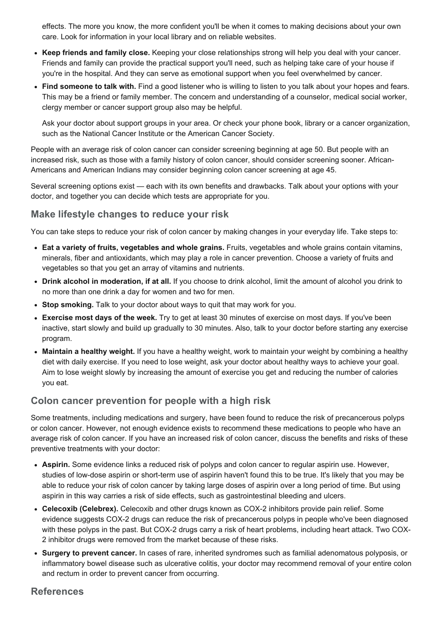effects. The more you know, the more confident you'll be when it comes to making decisions about your own care. Look for information in your local library and on reliable websites.

- Keep friends and family close. Keeping your close relationships strong will help you deal with your cancer. Friends and family can provide the practical support you'll need, such as helping take care of your house if you're in the hospital. And they can serve as emotional support when you feel overwhelmed by cancer.
- Find someone to talk with. Find a good listener who is willing to listen to you talk about your hopes and fears. This may be a friend or family member. The concern and understanding of a counselor, medical social worker, clergy member or cancer support group also may be helpful.

Ask your doctor about support groups in your area. Or check your phone book, library or a cancer organization, such as the National Cancer Institute or the American Cancer Society.

People with an average risk of colon cancer can consider screening beginning at age 50. But people with an increased risk, such as those with a family history of colon cancer, should consider screening sooner. African-Americans and American Indians may consider beginning colon cancer screening at age 45.

Several screening options exist — each with its own benefits and drawbacks. Talk about your options with your doctor, and together you can decide which tests are appropriate for you.

#### Make lifestyle changes to reduce your risk

You can take steps to reduce your risk of colon cancer by making changes in your everyday life. Take steps to:

- Eat a variety of fruits, vegetables and whole grains. Fruits, vegetables and whole grains contain vitamins, minerals, fiber and antioxidants, which may play a role in cancer prevention. Choose a variety of fruits and vegetables so that you get an array of vitamins and nutrients.
- Drink alcohol in moderation, if at all. If you choose to drink alcohol, limit the amount of alcohol you drink to no more than one drink a day for women and two for men.
- Stop smoking. Talk to your doctor about ways to quit that may work for you.
- Exercise most days of the week. Try to get at least 30 minutes of exercise on most days. If you've been inactive, start slowly and build up gradually to 30 minutes. Also, talk to your doctor before starting any exercise program.
- Maintain a healthy weight. If you have a healthy weight, work to maintain your weight by combining a healthy diet with daily exercise. If you need to lose weight, ask your doctor about healthy ways to achieve your goal. Aim to lose weight slowly by increasing the amount of exercise you get and reducing the number of calories you eat.

### Colon cancer prevention for people with a high risk

Some treatments, including medications and surgery, have been found to reduce the risk of precancerous polyps or colon cancer. However, not enough evidence exists to recommend these medications to people who have an average risk of colon cancer. If you have an increased risk of colon cancer, discuss the benefits and risks of these preventive treatments with your doctor:

- Aspirin. Some evidence links a reduced risk of polyps and colon cancer to regular aspirin use. However, studies of low-dose aspirin or short-term use of aspirin haven't found this to be true. It's likely that you may be able to reduce your risk of colon cancer by taking large doses of aspirin over a long period of time. But using aspirin in this way carries a risk of side effects, such as gastrointestinal bleeding and ulcers.
- Celecoxib (Celebrex). Celecoxib and other drugs known as COX-2 inhibitors provide pain relief. Some evidence suggests COX2 drugs can reduce the risk of precancerous polyps in people who've been diagnosed with these polyps in the past. But COX-2 drugs carry a risk of heart problems, including heart attack. Two COX-2 inhibitor drugs were removed from the market because of these risks.
- Surgery to prevent cancer. In cases of rare, inherited syndromes such as familial adenomatous polyposis, or inflammatory bowel disease such as ulcerative colitis, your doctor may recommend removal of your entire colon and rectum in order to prevent cancer from occurring.

#### **References**